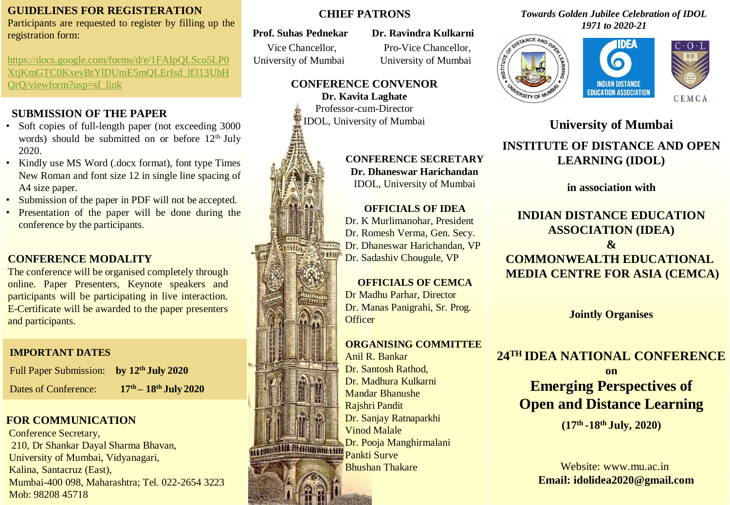### **GUIDELINES FOR REGISTERATION**

Participants are requested to register by filling up the registration form:

[https://docs.google.com/forms/d/e/1FAIpQLSco5LP0](https://docs.google.com/forms/d/e/1FAIpQLSco5LP0XtjKmGTC0KxevBtYlDUmE5mQLErIsd_lf313UhHQrQ/viewform?usp=sf_link) [XtjKmGTC0KxevBtYlDUmE5mQLErIsd\\_lf313UhH](https://docs.google.com/forms/d/e/1FAIpQLSco5LP0XtjKmGTC0KxevBtYlDUmE5mQLErIsd_lf313UhHQrQ/viewform?usp=sf_link) [QrQ/viewform?usp=sf\\_link](https://docs.google.com/forms/d/e/1FAIpQLSco5LP0XtjKmGTC0KxevBtYlDUmE5mQLErIsd_lf313UhHQrQ/viewform?usp=sf_link)

# **SUBMISSION OF THE PAPER**

- Soft copies of full-length paper (not exceeding 3000) words) should be submitted on or before  $12<sup>th</sup>$  July 2020.
- Kindly use MS Word (.docx format), font type Times New Roman and font size 12 in single line spacing of A4 size paper.
- Submission of the paper in PDF will not be accepted.
- Presentation of the paper will be done during the conference by the participants.

# **CONFERENCE MODALITY**

The conference will be organised completely through online. Paper Presenters, Keynote speakers and participants will be participating in live interaction. E-Certificate will be awarded to the paper presenters and participants.

# **IMPORTANT DATES**

| Full Paper Submission: by 12 <sup>th</sup> July 2020 |                         |
|------------------------------------------------------|-------------------------|
| Dates of Conference:                                 | $17th - 18th$ July 2020 |

# **FOR COMMUNICATION**

Conference Secretary, 210, Dr Shankar Dayal Sharma Bhavan, University of Mumbai, Vidyanagari, Kalina, Santacruz (East), Mumbai-400 098, Maharashtra; Tel. 022-2654 3223 Mob: 98208 45718

### **CHIEF PATRONS**

**Prof. Suhas Pednekar Dr. Ravindra Kulkarni**

Vice Chancellor, Pro-Vice Chancellor,

University of Mumbai University of Mumbai

# **CONFERENCE CONVENOR**

**Dr. Kavita Laghate**  Professor-cum-Director IDOL, University of Mumbai

### **CONFERENCE SECRETARY Dr. Dhaneswar Harichandan** IDOL, University of Mumbai

### **OFFICIALS OF IDEA**

Dr. K Murlimanohar, President Dr. Romesh Verma, Gen. Secy. Dr. Dhaneswar Harichandan, VP Dr. Sadashiv Chougule, VP

# **OFFICIALS OF CEMCA**

Dr Madhu Parhar, Director Dr. Manas Panigrahi, Sr. Prog. **Officer** 

#### **ORGANISING COMMITTEE**

Anil R. Bankar Dr. Santosh Rathod, Dr. Madhura Kulkarni Mandar Bhanushe Rajshri Pandit Dr. Sanjay Ratnaparkhi Vinod Malale Dr. Pooja Manghirmalani **Pankti Surve**<br>Pankti Surve Bhushan Thakare

#### *Towards Golden Jubilee Celebration of IDOL 1971 to 2020-21*





# **University of Mumbai**

# **INSTITUTE OF DISTANCE AND OPEN LEARNING (IDOL)**

**in association with**

### **INDIAN DISTANCE EDUCATION ASSOCIATION (IDEA) & COMMONWEALTH EDUCATIONAL MEDIA CENTRE FOR ASIA (CEMCA)**

**Jointly Organises**

# **24TH IDEA NATIONAL CONFERENCE**

**on Emerging Perspectives of Open and Distance Learning**

**(17th -18th July, 2020)**

Website: [www.mu.ac.in](http://www.mu.ac.in/) **Email: [idolidea2020@gmail.com](mailto:idolidea2020@gmail.com)**